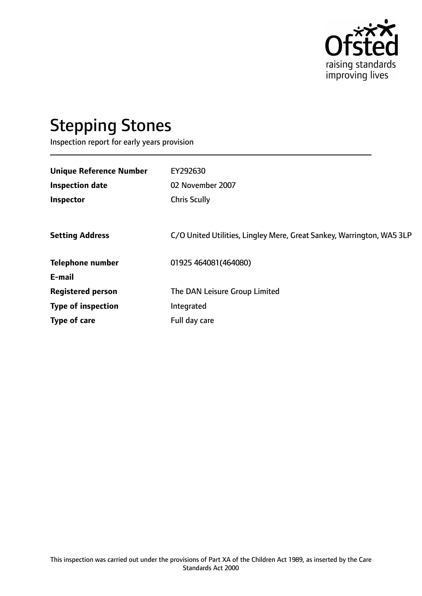

# Stepping Stones

Inspection report for early years provision

| <b>Unique Reference Number</b> | EY292630                                                              |
|--------------------------------|-----------------------------------------------------------------------|
|                                |                                                                       |
| <b>Inspection date</b>         | 02 November 2007                                                      |
| Inspector                      | <b>Chris Scully</b>                                                   |
|                                |                                                                       |
| <b>Setting Address</b>         | C/O United Utilities, Lingley Mere, Great Sankey, Warrington, WA5 3LP |
| <b>Telephone number</b>        | 01925 464081 (464080)                                                 |
| E-mail                         |                                                                       |
| <b>Registered person</b>       | The DAN Leisure Group Limited                                         |
| <b>Type of inspection</b>      | Integrated                                                            |
| Type of care                   | Full day care                                                         |
|                                |                                                                       |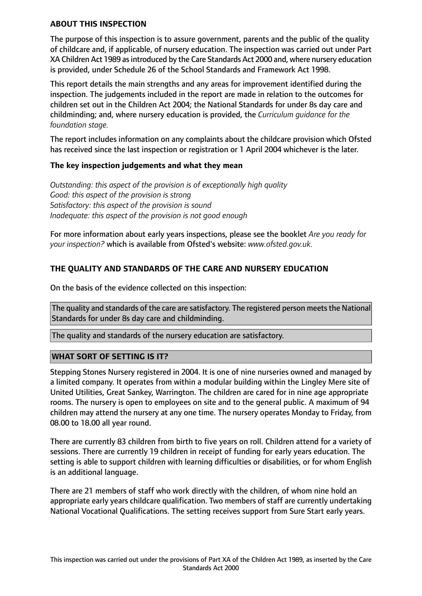#### **ABOUT THIS INSPECTION**

The purpose of this inspection is to assure government, parents and the public of the quality of childcare and, if applicable, of nursery education. The inspection was carried out under Part XA Children Act 1989 asintroduced by the Care Standards Act 2000 and, where nursery education is provided, under Schedule 26 of the School Standards and Framework Act 1998.

This report details the main strengths and any areas for improvement identified during the inspection. The judgements included in the report are made in relation to the outcomes for children set out in the Children Act 2004; the National Standards for under 8s day care and childminding; and, where nursery education is provided, the *Curriculum guidance for the foundation stage.*

The report includes information on any complaints about the childcare provision which Ofsted has received since the last inspection or registration or 1 April 2004 whichever is the later.

#### **The key inspection judgements and what they mean**

*Outstanding: this aspect of the provision is of exceptionally high quality Good: this aspect of the provision is strong Satisfactory: this aspect of the provision is sound Inadequate: this aspect of the provision is not good enough*

For more information about early years inspections, please see the booklet *Are you ready for your inspection?* which is available from Ofsted's website: *www.ofsted.gov.uk.*

# **THE QUALITY AND STANDARDS OF THE CARE AND NURSERY EDUCATION**

On the basis of the evidence collected on this inspection:

The quality and standards of the care are satisfactory. The registered person meets the National Standards for under 8s day care and childminding.

The quality and standards of the nursery education are satisfactory.

### **WHAT SORT OF SETTING IS IT?**

Stepping Stones Nursery registered in 2004. It is one of nine nurseries owned and managed by a limited company. It operates from within a modular building within the Lingley Mere site of United Utilities, Great Sankey, Warrington. The children are cared for in nine age appropriate rooms. The nursery is open to employees on site and to the general public. A maximum of 94 children may attend the nursery at any one time. The nursery operates Monday to Friday, from 08.00 to 18.00 all year round.

There are currently 83 children from birth to five years on roll. Children attend for a variety of sessions. There are currently 19 children in receipt of funding for early years education. The setting is able to support children with learning difficulties or disabilities, or for whom English is an additional language.

There are 21 members of staff who work directly with the children, of whom nine hold an appropriate early years childcare qualification. Two members of staff are currently undertaking National Vocational Qualifications. The setting receives support from Sure Start early years.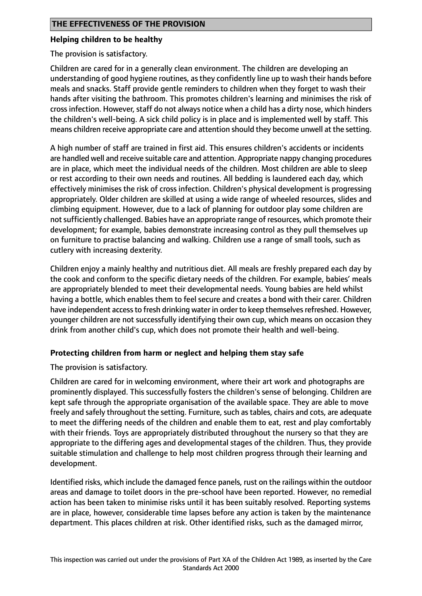#### **Helping children to be healthy**

The provision is satisfactory.

Children are cared for in a generally clean environment. The children are developing an understanding of good hygiene routines, as they confidently line up to wash their hands before meals and snacks. Staff provide gentle reminders to children when they forget to wash their hands after visiting the bathroom. This promotes children's learning and minimises the risk of cross infection. However, staff do not always notice when a child has a dirty nose, which hinders the children's well-being. A sick child policy is in place and is implemented well by staff. This means children receive appropriate care and attention should they become unwell at the setting.

A high number of staff are trained in first aid. This ensures children's accidents or incidents are handled well and receive suitable care and attention. Appropriate nappy changing procedures are in place, which meet the individual needs of the children. Most children are able to sleep or rest according to their own needs and routines. All bedding is laundered each day, which effectively minimises the risk of cross infection. Children's physical development is progressing appropriately. Older children are skilled at using a wide range of wheeled resources, slides and climbing equipment. However, due to a lack of planning for outdoor play some children are not sufficiently challenged. Babies have an appropriate range of resources, which promote their development; for example, babies demonstrate increasing control as they pull themselves up on furniture to practise balancing and walking. Children use a range of small tools, such as cutlery with increasing dexterity.

Children enjoy a mainly healthy and nutritious diet. All meals are freshly prepared each day by the cook and conform to the specific dietary needs of the children. For example, babies' meals are appropriately blended to meet their developmental needs. Young babies are held whilst having a bottle, which enables them to feel secure and creates a bond with their carer. Children have independent access to fresh drinking water in order to keep themselves refreshed. However, younger children are not successfully identifying their own cup, which means on occasion they drink from another child's cup, which does not promote their health and well-being.

### **Protecting children from harm or neglect and helping them stay safe**

The provision is satisfactory.

Children are cared for in welcoming environment, where their art work and photographs are prominently displayed. This successfully fosters the children's sense of belonging. Children are kept safe through the appropriate organisation of the available space. They are able to move freely and safely throughout the setting. Furniture, such as tables, chairs and cots, are adequate to meet the differing needs of the children and enable them to eat, rest and play comfortably with their friends. Toys are appropriately distributed throughout the nursery so that they are appropriate to the differing ages and developmental stages of the children. Thus, they provide suitable stimulation and challenge to help most children progress through their learning and development.

Identified risks, which include the damaged fence panels, rust on the railings within the outdoor areas and damage to toilet doors in the pre-school have been reported. However, no remedial action has been taken to minimise risks until it has been suitably resolved. Reporting systems are in place, however, considerable time lapses before any action is taken by the maintenance department. This places children at risk. Other identified risks, such as the damaged mirror,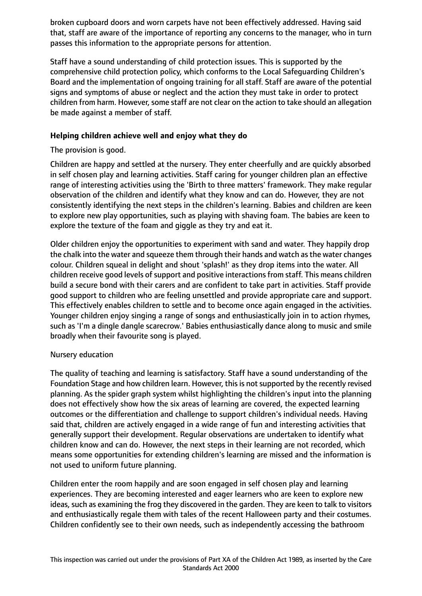broken cupboard doors and worn carpets have not been effectively addressed. Having said that, staff are aware of the importance of reporting any concerns to the manager, who in turn passes this information to the appropriate persons for attention.

Staff have a sound understanding of child protection issues. This is supported by the comprehensive child protection policy, which conforms to the Local Safeguarding Children's Board and the implementation of ongoing training for all staff. Staff are aware of the potential signs and symptoms of abuse or neglect and the action they must take in order to protect children from harm. However, some staff are not clear on the action to take should an allegation be made against a member of staff.

## **Helping children achieve well and enjoy what they do**

The provision is good.

Children are happy and settled at the nursery. They enter cheerfully and are quickly absorbed in self chosen play and learning activities. Staff caring for younger children plan an effective range of interesting activities using the 'Birth to three matters' framework. They make regular observation of the children and identify what they know and can do. However, they are not consistently identifying the next steps in the children's learning. Babies and children are keen to explore new play opportunities, such as playing with shaving foam. The babies are keen to explore the texture of the foam and giggle as they try and eat it.

Older children enjoy the opportunities to experiment with sand and water. They happily drop the chalk into the water and squeeze them through their hands and watch as the water changes colour. Children squeal in delight and shout 'splash!' as they drop items into the water. All children receive good levels of support and positive interactions from staff. This means children build a secure bond with their carers and are confident to take part in activities. Staff provide good support to children who are feeling unsettled and provide appropriate care and support. This effectively enables children to settle and to become once again engaged in the activities. Younger children enjoy singing a range of songs and enthusiastically join in to action rhymes, such as 'I'm a dingle dangle scarecrow.' Babies enthusiastically dance along to music and smile broadly when their favourite song is played.

### Nursery education

The quality of teaching and learning is satisfactory. Staff have a sound understanding of the Foundation Stage and how children learn. However, this is not supported by the recently revised planning. As the spider graph system whilst highlighting the children's input into the planning does not effectively show how the six areas of learning are covered, the expected learning outcomes or the differentiation and challenge to support children's individual needs. Having said that, children are actively engaged in a wide range of fun and interesting activities that generally support their development. Regular observations are undertaken to identify what children know and can do. However, the next steps in their learning are not recorded, which means some opportunities for extending children's learning are missed and the information is not used to uniform future planning.

Children enter the room happily and are soon engaged in self chosen play and learning experiences. They are becoming interested and eager learners who are keen to explore new ideas, such as examining the frog they discovered in the garden. They are keen to talk to visitors and enthusiastically regale them with tales of the recent Halloween party and their costumes. Children confidently see to their own needs, such as independently accessing the bathroom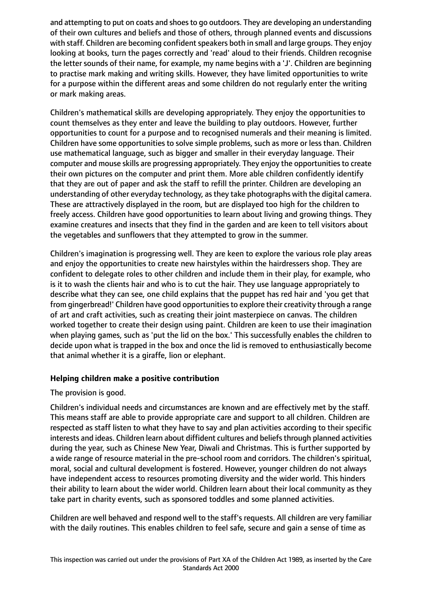and attempting to put on coats and shoes to go outdoors. They are developing an understanding of their own cultures and beliefs and those of others, through planned events and discussions with staff. Children are becoming confident speakers both in small and large groups. They enjoy looking at books, turn the pages correctly and 'read' aloud to their friends. Children recognise the letter sounds of their name, for example, my name begins with a 'J'. Children are beginning to practise mark making and writing skills. However, they have limited opportunities to write for a purpose within the different areas and some children do not regularly enter the writing or mark making areas.

Children's mathematical skills are developing appropriately. They enjoy the opportunities to count themselves as they enter and leave the building to play outdoors. However, further opportunities to count for a purpose and to recognised numerals and their meaning is limited. Children have some opportunities to solve simple problems, such as more or less than. Children use mathematical language, such as bigger and smaller in their everyday language. Their computer and mouse skills are progressing appropriately. They enjoy the opportunitiesto create their own pictures on the computer and print them. More able children confidently identify that they are out of paper and ask the staff to refill the printer. Children are developing an understanding of other everyday technology, asthey take photographs with the digital camera. These are attractively displayed in the room, but are displayed too high for the children to freely access. Children have good opportunities to learn about living and growing things. They examine creatures and insects that they find in the garden and are keen to tell visitors about the vegetables and sunflowers that they attempted to grow in the summer.

Children's imagination is progressing well. They are keen to explore the various role play areas and enjoy the opportunities to create new hairstyles within the hairdressers shop. They are confident to delegate roles to other children and include them in their play, for example, who is it to wash the clients hair and who is to cut the hair. They use language appropriately to describe what they can see, one child explains that the puppet has red hair and 'you get that from gingerbread!' Children have good opportunities to explore their creativity through a range of art and craft activities, such as creating their joint masterpiece on canvas. The children worked together to create their design using paint. Children are keen to use their imagination when playing games, such as 'put the lid on the box.' This successfully enables the children to decide upon what is trapped in the box and once the lid is removed to enthusiastically become that animal whether it is a giraffe, lion or elephant.

### **Helping children make a positive contribution**

The provision is good.

Children's individual needs and circumstances are known and are effectively met by the staff. This means staff are able to provide appropriate care and support to all children. Children are respected as staff listen to what they have to say and plan activities according to their specific interests and ideas. Children learn about diffident cultures and beliefs through planned activities during the year, such as Chinese New Year, Diwali and Christmas. This is further supported by a wide range of resource material in the pre-school room and corridors. The children's spiritual, moral, social and cultural development is fostered. However, younger children do not always have independent access to resources promoting diversity and the wider world. This hinders their ability to learn about the wider world. Children learn about their local community as they take part in charity events, such as sponsored toddles and some planned activities.

Children are well behaved and respond well to the staff's requests. All children are very familiar with the daily routines. This enables children to feel safe, secure and gain a sense of time as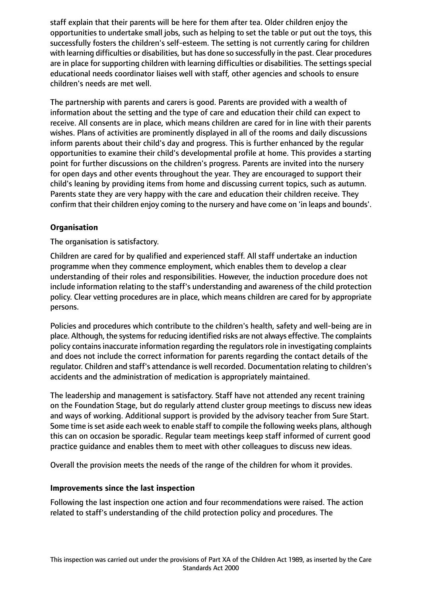staff explain that their parents will be here for them after tea. Older children enjoy the opportunities to undertake small jobs, such as helping to set the table or put out the toys, this successfully fosters the children's self-esteem. The setting is not currently caring for children with learning difficulties or disabilities, but has done so successfully in the past. Clear procedures are in place for supporting children with learning difficulties or disabilities. The settings special educational needs coordinator liaises well with staff, other agencies and schools to ensure children's needs are met well.

The partnership with parents and carers is good. Parents are provided with a wealth of information about the setting and the type of care and education their child can expect to receive. All consents are in place, which means children are cared for in line with their parents wishes. Plans of activities are prominently displayed in all of the rooms and daily discussions inform parents about their child's day and progress. This is further enhanced by the regular opportunities to examine their child's developmental profile at home. This provides a starting point for further discussions on the children's progress. Parents are invited into the nursery for open days and other events throughout the year. They are encouraged to support their child's leaning by providing items from home and discussing current topics, such as autumn. Parents state they are very happy with the care and education their children receive. They confirm that their children enjoy coming to the nursery and have come on 'in leaps and bounds'.

# **Organisation**

The organisation is satisfactory.

Children are cared for by qualified and experienced staff. All staff undertake an induction programme when they commence employment, which enables them to develop a clear understanding of their roles and responsibilities. However, the induction procedure does not include information relating to the staff's understanding and awareness of the child protection policy. Clear vetting procedures are in place, which means children are cared for by appropriate persons.

Policies and procedures which contribute to the children's health, safety and well-being are in place. Although, the systems for reducing identified risks are not always effective. The complaints policy contains inaccurate information regarding the regulators role in investigating complaints and does not include the correct information for parents regarding the contact details of the regulator. Children and staff's attendance is well recorded. Documentation relating to children's accidents and the administration of medication is appropriately maintained.

The leadership and management is satisfactory. Staff have not attended any recent training on the Foundation Stage, but do regularly attend cluster group meetings to discuss new ideas and ways of working. Additional support is provided by the advisory teacher from Sure Start. Some time is set aside each week to enable staff to compile the following weeks plans, although this can on occasion be sporadic. Regular team meetings keep staff informed of current good practice guidance and enables them to meet with other colleagues to discuss new ideas.

Overall the provision meets the needs of the range of the children for whom it provides.

### **Improvements since the last inspection**

Following the last inspection one action and four recommendations were raised. The action related to staff's understanding of the child protection policy and procedures. The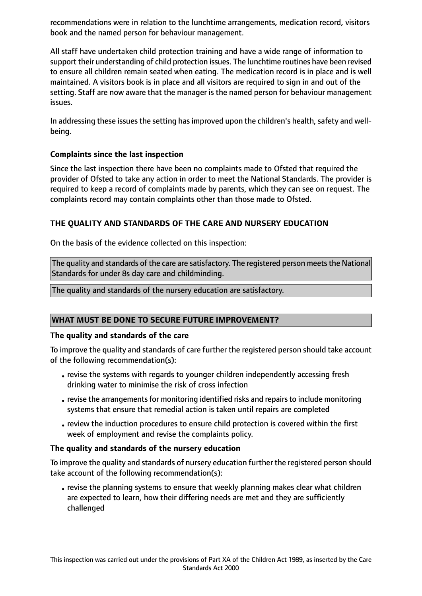recommendations were in relation to the lunchtime arrangements, medication record, visitors book and the named person for behaviour management.

All staff have undertaken child protection training and have a wide range of information to support their understanding of child protection issues. The lunchtime routines have been revised to ensure all children remain seated when eating. The medication record is in place and is well maintained. A visitors book is in place and all visitors are required to sign in and out of the setting. Staff are now aware that the manager is the named person for behaviour management issues.

In addressing these issues the setting has improved upon the children's health, safety and wellbeing.

# **Complaints since the last inspection**

Since the last inspection there have been no complaints made to Ofsted that required the provider of Ofsted to take any action in order to meet the National Standards. The provider is required to keep a record of complaints made by parents, which they can see on request. The complaints record may contain complaints other than those made to Ofsted.

# **THE QUALITY AND STANDARDS OF THE CARE AND NURSERY EDUCATION**

On the basis of the evidence collected on this inspection:

The quality and standards of the care are satisfactory. The registered person meets the National Standards for under 8s day care and childminding.

The quality and standards of the nursery education are satisfactory.

### **WHAT MUST BE DONE TO SECURE FUTURE IMPROVEMENT?**

#### **The quality and standards of the care**

To improve the quality and standards of care further the registered person should take account of the following recommendation(s):

- •revise the systems with regards to younger children independently accessing fresh drinking water to minimise the risk of cross infection
- revise the arrangements for monitoring identified risks and repairs to include monitoring systems that ensure that remedial action is taken until repairs are completed
- •review the induction procedures to ensure child protection is covered within the first week of employment and revise the complaints policy.

### **The quality and standards of the nursery education**

To improve the quality and standards of nursery education further the registered person should take account of the following recommendation(s):

•revise the planning systems to ensure that weekly planning makes clear what children are expected to learn, how their differing needs are met and they are sufficiently challenged